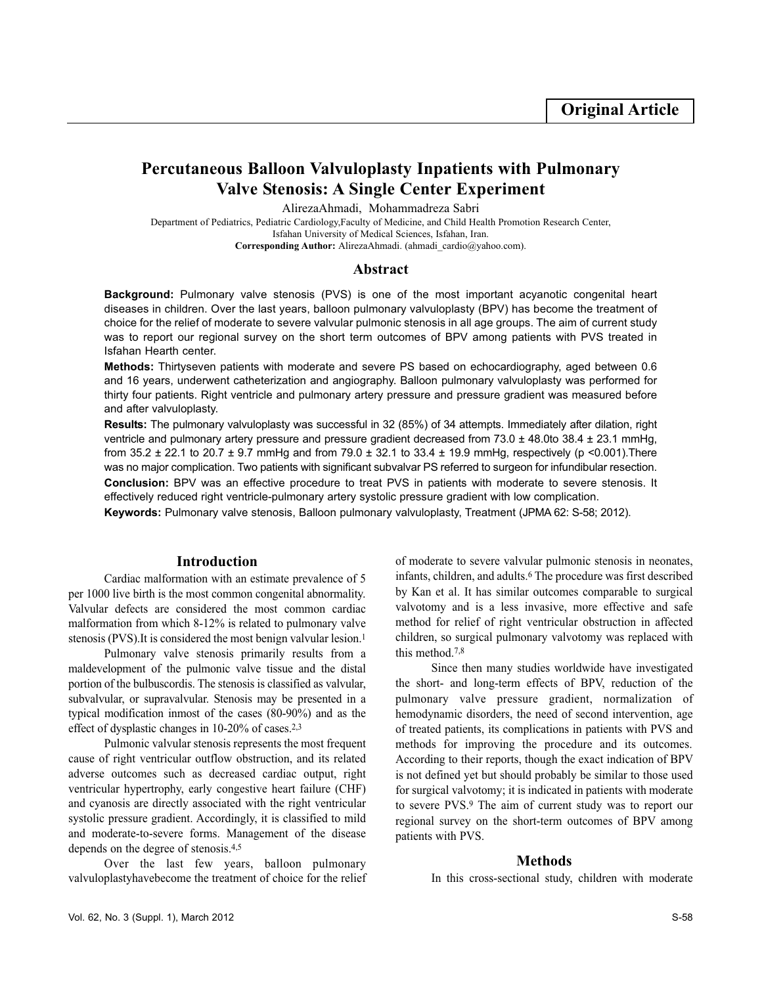# **Percutaneous Balloon Valvuloplasty Inpatients with Pulmonary Valve Stenosis: A Single Center Experiment**

AlirezaAhmadi, Mohammadreza Sabri

Department of Pediatrics, Pediatric Cardiology,Faculty of Medicine, and Child Health Promotion Research Center, Isfahan University of Medical Sciences, Isfahan, Iran. **Corresponding Author:** AlirezaAhmadi. (ahmadi\_cardio@yahoo.com).

### **Abstract**

**Background:** Pulmonary valve stenosis (PVS) is one of the most important acyanotic congenital heart diseases in children. Over the last years, balloon pulmonary valvuloplasty (BPV) has become the treatment of choice for the relief of moderate to severe valvular pulmonic stenosis in all age groups. The aim of current study was to report our regional survey on the short term outcomes of BPV among patients with PVS treated in Isfahan Hearth center.

**Methods:** Thirtyseven patients with moderate and severe PS based on echocardiography, aged between 0.6 and 16 years, underwent catheterization and angiography. Balloon pulmonary valvuloplasty was performed for thirty four patients. Right ventricle and pulmonary artery pressure and pressure gradient was measured before and after valvuloplasty.

**Results:** The pulmonary valvuloplasty was successful in 32 (85%) of 34 attempts. Immediately after dilation, right ventricle and pulmonary artery pressure and pressure gradient decreased from  $73.0 \pm 48.0$ to  $38.4 \pm 23.1$  mmHg, from 35.2  $\pm$  22.1 to 20.7  $\pm$  9.7 mmHg and from 79.0  $\pm$  32.1 to 33.4  $\pm$  19.9 mmHg, respectively (p <0.001). There was no major complication. Two patients with significant subvalvar PS referred to surgeon for infundibular resection. **Conclusion:** BPV was an effective procedure to treat PVS in patients with moderate to severe stenosis. It

effectively reduced right ventricle-pulmonary artery systolic pressure gradient with low complication.

**Keywords:** Pulmonary valve stenosis, Balloon pulmonary valvuloplasty, Treatment (JPMA 62: S-58; 2012).

## **Introduction**

Cardiac malformation with an estimate prevalence of 5 per 1000 live birth is the most common congenital abnormality. Valvular defects are considered the most common cardiac malformation from which 8-12% is related to pulmonary valve stenosis (PVS). It is considered the most benign valvular lesion.<sup>1</sup>

Pulmonary valve stenosis primarily results from a maldevelopment of the pulmonic valve tissue and the distal portion of the bulbuscordis. The stenosis is classified as valvular, subvalvular, or supravalvular. Stenosis may be presented in a typical modification inmost of the cases (80-90%) and as the effect of dysplastic changes in 10-20% of cases.2,3

Pulmonic valvular stenosis represents the most frequent cause of right ventricular outflow obstruction, and its related adverse outcomes such as decreased cardiac output, right ventricular hypertrophy, early congestive heart failure (CHF) and cyanosis are directly associated with the right ventricular systolic pressure gradient. Accordingly, it is classified to mild and moderate-to-severe forms. Management of the disease depends on the degree of stenosis.4,5

Over the last few years, balloon pulmonary valvuloplastyhavebecome the treatment of choice for the relief

of moderate to severe valvular pulmonic stenosis in neonates, infants, children, and adults.<sup>6</sup> The procedure was first described by Kan et al. It has similar outcomes comparable to surgical valvotomy and is a less invasive, more effective and safe method for relief of right ventricular obstruction in affected children, so surgical pulmonary valvotomy was replaced with this method.7,8

Since then many studies worldwide have investigated the short- and long-term effects of BPV, reduction of the pulmonary valve pressure gradient, normalization of hemodynamic disorders, the need of second intervention, age of treated patients, its complications in patients with PVS and methods for improving the procedure and its outcomes. According to their reports, though the exact indication of BPV is not defined yet but should probably be similar to those used for surgical valvotomy; it is indicated in patients with moderate to severe PVS.<sup>9</sup> The aim of current study was to report our regional survey on the short-term outcomes of BPV among patients with PVS.

#### **Methods**

In this cross-sectional study, children with moderate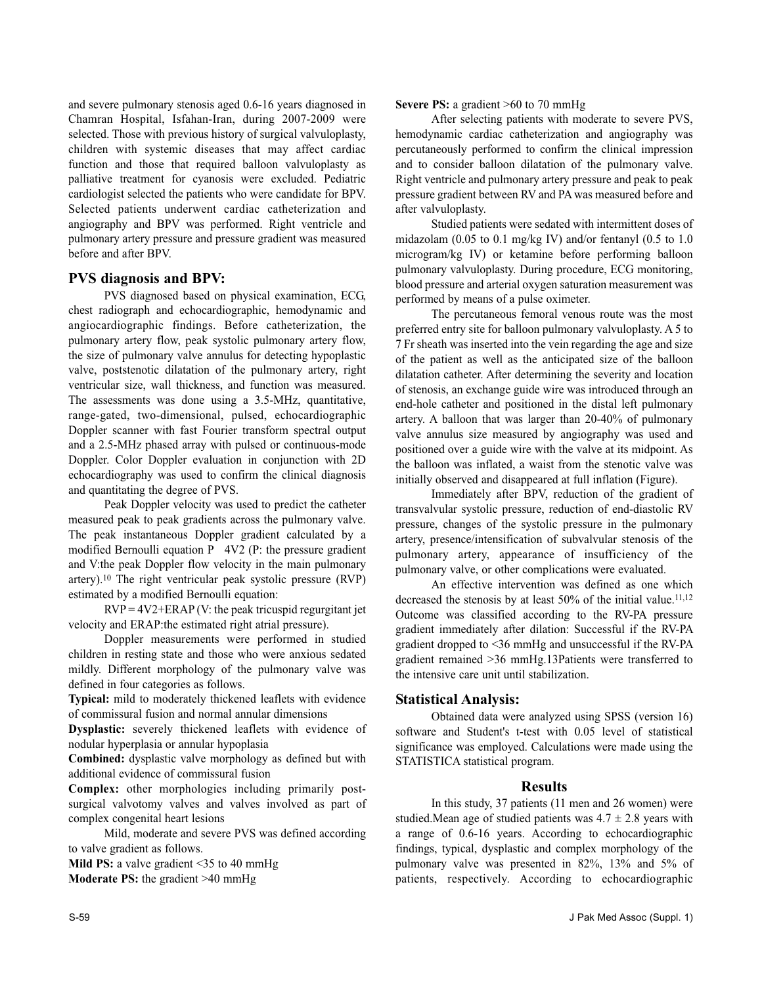and severe pulmonary stenosis aged 0.6-16 years diagnosed in Chamran Hospital, Isfahan-Iran, during 2007-2009 were selected. Those with previous history of surgical valvuloplasty, children with systemic diseases that may affect cardiac function and those that required balloon valvuloplasty as palliative treatment for cyanosis were excluded. Pediatric cardiologist selected the patients who were candidate for BPV. Selected patients underwent cardiac catheterization and angiography and BPV was performed. Right ventricle and pulmonary artery pressure and pressure gradient was measured before and after BPV.

## **PVS diagnosis and BPV:**

PVS diagnosed based on physical examination, ECG, chest radiograph and echocardiographic, hemodynamic and angiocardiographic findings. Before catheterization, the pulmonary artery flow, peak systolic pulmonary artery flow, the size of pulmonary valve annulus for detecting hypoplastic valve, poststenotic dilatation of the pulmonary artery, right ventricular size, wall thickness, and function was measured. The assessments was done using a 3.5-MHz, quantitative, range-gated, two-dimensional, pulsed, echocardiographic Doppler scanner with fast Fourier transform spectral output and a 2.5-MHz phased array with pulsed or continuous-mode Doppler. Color Doppler evaluation in conjunction with 2D echocardiography was used to confirm the clinical diagnosis and quantitating the degree of PVS.

Peak Doppler velocity was used to predict the catheter measured peak to peak gradients across the pulmonary valve. The peak instantaneous Doppler gradient calculated by a modified Bernoulli equation P 4V2 (P: the pressure gradient and V:the peak Doppler flow velocity in the main pulmonary artery).<sup>10</sup> The right ventricular peak systolic pressure (RVP) estimated by a modified Bernoulli equation:

 $RVP = 4V2 + ERAP$  (V: the peak tricuspid regurgitant jet velocity and ERAP:the estimated right atrial pressure).

Doppler measurements were performed in studied children in resting state and those who were anxious sedated mildly. Different morphology of the pulmonary valve was defined in four categories as follows.

**Typical:** mild to moderately thickened leaflets with evidence of commissural fusion and normal annular dimensions

**Dysplastic:** severely thickened leaflets with evidence of nodular hyperplasia or annular hypoplasia

**Combined:** dysplastic valve morphology as defined but with additional evidence of commissural fusion

**Complex:** other morphologies including primarily postsurgical valvotomy valves and valves involved as part of complex congenital heart lesions

Mild, moderate and severe PVS was defined according to valve gradient as follows.

**Mild PS:** a valve gradient <35 to 40 mmHg **Moderate PS:** the gradient >40 mmHg

**Severe PS:** a gradient >60 to 70 mmHg

After selecting patients with moderate to severe PVS, hemodynamic cardiac catheterization and angiography was percutaneously performed to confirm the clinical impression and to consider balloon dilatation of the pulmonary valve. Right ventricle and pulmonary artery pressure and peak to peak pressure gradient between RV and PA was measured before and after valvuloplasty.

Studied patients were sedated with intermittent doses of midazolam (0.05 to 0.1 mg/kg IV) and/or fentanyl (0.5 to 1.0 microgram/kg IV) or ketamine before performing balloon pulmonary valvuloplasty. During procedure, ECG monitoring, blood pressure and arterial oxygen saturation measurement was performed by means of a pulse oximeter.

The percutaneous femoral venous route was the most preferred entry site for balloon pulmonary valvuloplasty. A 5 to 7 Fr sheath was inserted into the vein regarding the age and size of the patient as well as the anticipated size of the balloon dilatation catheter. After determining the severity and location of stenosis, an exchange guide wire was introduced through an end-hole catheter and positioned in the distal left pulmonary artery. A balloon that was larger than 20-40% of pulmonary valve annulus size measured by angiography was used and positioned over a guide wire with the valve at its midpoint. As the balloon was inflated, a waist from the stenotic valve was initially observed and disappeared at full inflation (Figure).

Immediately after BPV, reduction of the gradient of transvalvular systolic pressure, reduction of end-diastolic RV pressure, changes of the systolic pressure in the pulmonary artery, presence/intensification of subvalvular stenosis of the pulmonary artery, appearance of insufficiency of the pulmonary valve, or other complications were evaluated.

An effective intervention was defined as one which decreased the stenosis by at least 50% of the initial value.<sup>11,12</sup> Outcome was classified according to the RV-PA pressure gradient immediately after dilation: Successful if the RV-PA gradient dropped to <36 mmHg and unsuccessful if the RV-PA gradient remained >36 mmHg.13Patients were transferred to the intensive care unit until stabilization.

## **Statistical Analysis:**

Obtained data were analyzed using SPSS (version 16) software and Student's t-test with 0.05 level of statistical significance was employed. Calculations were made using the STATISTICA statistical program.

### **Results**

In this study, 37 patients (11 men and 26 women) were studied.Mean age of studied patients was  $4.7 \pm 2.8$  years with a range of 0.6-16 years. According to echocardiographic findings, typical, dysplastic and complex morphology of the pulmonary valve was presented in 82%, 13% and 5% of patients, respectively. According to echocardiographic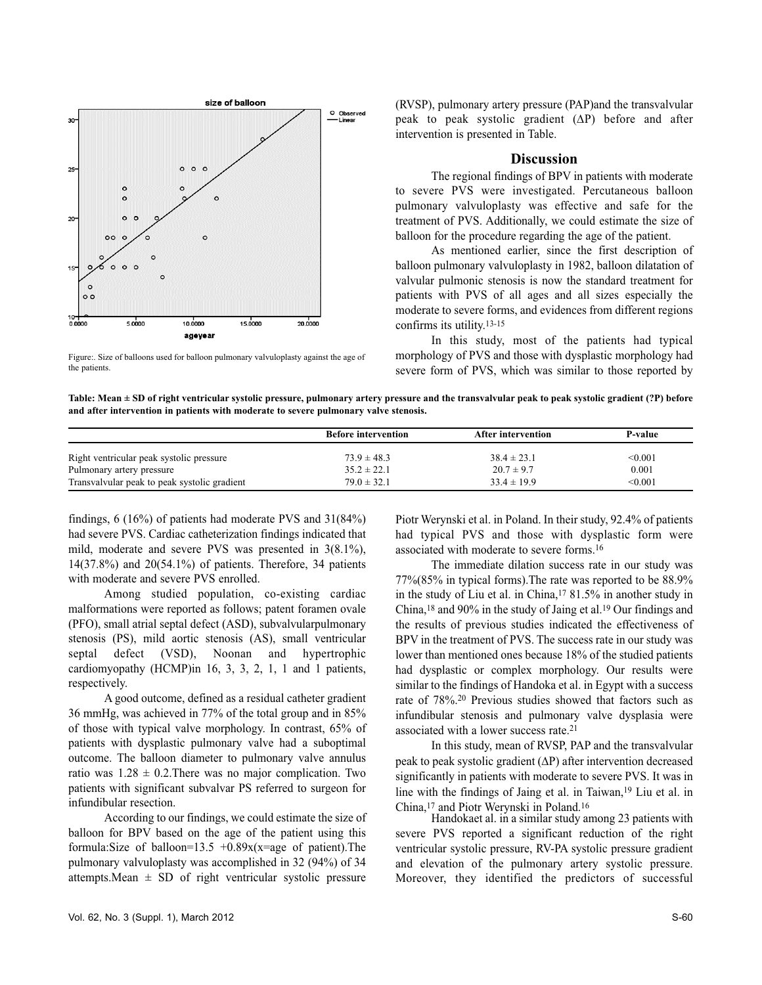

Figure:. Size of balloons used for balloon pulmonary valvuloplasty against the age of the patients.

(RVSP), pulmonary artery pressure (PAP)and the transvalvular peak to peak systolic gradient (∆P) before and after intervention is presented in Table.

#### **Discussion**

The regional findings of BPV in patients with moderate to severe PVS were investigated. Percutaneous balloon pulmonary valvuloplasty was effective and safe for the treatment of PVS. Additionally, we could estimate the size of balloon for the procedure regarding the age of the patient.

As mentioned earlier, since the first description of balloon pulmonary valvuloplasty in 1982, balloon dilatation of valvular pulmonic stenosis is now the standard treatment for patients with PVS of all ages and all sizes especially the moderate to severe forms, and evidences from different regions confirms its utility.13-15

In this study, most of the patients had typical morphology of PVS and those with dysplastic morphology had severe form of PVS, which was similar to those reported by

**Table: Mean ± SD of right ventricular systolic pressure, pulmonary artery pressure and the transvalvular peak to peak systolic gradient (?P) before and after intervention in patients with moderate to severe pulmonary valve stenosis.**

|                                              | <b>Before intervention</b> | After intervention | P-value |
|----------------------------------------------|----------------------------|--------------------|---------|
| Right ventricular peak systolic pressure     | $73.9 \pm 48.3$            | $38.4 \pm 23.1$    | < 0.001 |
| Pulmonary artery pressure                    | $35.2 \pm 22.1$            | $20.7 \pm 9.7$     | 0.001   |
| Transvalvular peak to peak systolic gradient | $79.0 \pm 32.1$            | $33.4 \pm 19.9$    | < 0.001 |

findings, 6 (16%) of patients had moderate PVS and 31(84%) had severe PVS. Cardiac catheterization findings indicated that mild, moderate and severe PVS was presented in 3(8.1%), 14(37.8%) and 20(54.1%) of patients. Therefore, 34 patients with moderate and severe PVS enrolled.

Among studied population, co-existing cardiac malformations were reported as follows; patent foramen ovale (PFO), small atrial septal defect (ASD), subvalvularpulmonary stenosis (PS), mild aortic stenosis (AS), small ventricular septal defect (VSD), Noonan and hypertrophic cardiomyopathy (HCMP)in 16, 3, 3, 2, 1, 1 and 1 patients, respectively.

A good outcome, defined as a residual catheter gradient 36 mmHg, was achieved in 77% of the total group and in 85% of those with typical valve morphology. In contrast, 65% of patients with dysplastic pulmonary valve had a suboptimal outcome. The balloon diameter to pulmonary valve annulus ratio was  $1.28 \pm 0.2$ . There was no major complication. Two patients with significant subvalvar PS referred to surgeon for infundibular resection.

According to our findings, we could estimate the size of balloon for BPV based on the age of the patient using this formula:Size of balloon=13.5 +0.89 $x(x=$ age of patient).The pulmonary valvuloplasty was accomplished in 32 (94%) of 34 attempts. Mean  $\pm$  SD of right ventricular systolic pressure

Piotr Werynski et al. in Poland. In their study, 92.4% of patients had typical PVS and those with dysplastic form were associated with moderate to severe forms.<sup>16</sup>

The immediate dilation success rate in our study was 77%(85% in typical forms).The rate was reported to be 88.9% in the study of Liu et al. in China,<sup>17</sup> 81.5% in another study in China,<sup>18</sup> and 90% in the study of Jaing et al.<sup>19</sup> Our findings and the results of previous studies indicated the effectiveness of BPV in the treatment of PVS. The success rate in our study was lower than mentioned ones because 18% of the studied patients had dysplastic or complex morphology. Our results were similar to the findings of Handoka et al. in Egypt with a success rate of 78%.<sup>20</sup> Previous studies showed that factors such as infundibular stenosis and pulmonary valve dysplasia were associated with a lower success rate.<sup>21</sup>

In this study, mean of RVSP, PAP and the transvalvular peak to peak systolic gradient (∆P) after intervention decreased significantly in patients with moderate to severe PVS. It was in line with the findings of Jaing et al. in Taiwan,<sup>19</sup> Liu et al. in China,<sup>17</sup> and Piotr Werynski in Poland.<sup>16</sup>

Handokaet al. in a similar study among 23 patients with severe PVS reported a significant reduction of the right ventricular systolic pressure, RV-PA systolic pressure gradient and elevation of the pulmonary artery systolic pressure. Moreover, they identified the predictors of successful